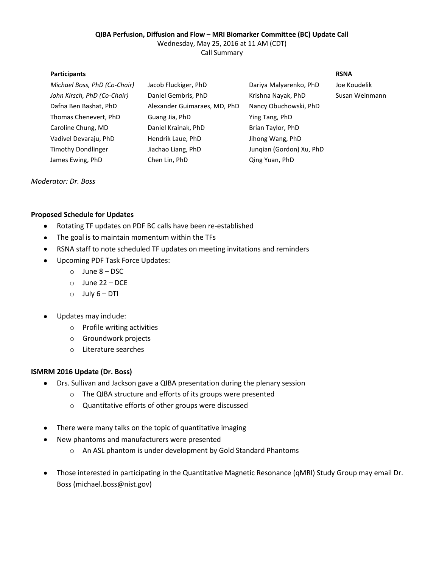# **QIBA Perfusion, Diffusion and Flow – MRI Biomarker Committee (BC) Update Call**

Wednesday, May 25, 2016 at 11 AM (CDT)

Call Summary

### **Participants RSNA**

| Michael Boss, PhD (Co-Chair) | Jacob Fluckiger, PhD         | Dariya Malyarenko, PhD   | Joe Koudelik   |
|------------------------------|------------------------------|--------------------------|----------------|
| John Kirsch, PhD (Co-Chair)  | Daniel Gembris, PhD          | Krishna Nayak, PhD       | Susan Weinmann |
| Dafna Ben Bashat, PhD        | Alexander Guimaraes, MD, PhD | Nancy Obuchowski, PhD    |                |
| Thomas Chenevert, PhD        | Guang Jia, PhD               | Ying Tang, PhD           |                |
| Caroline Chung, MD           | Daniel Krainak, PhD          | Brian Taylor, PhD        |                |
| Vadivel Devaraju, PhD        | Hendrik Laue, PhD            | Jihong Wang, PhD         |                |
| <b>Timothy Dondlinger</b>    | Jiachao Liang, PhD           | Jungian (Gordon) Xu, PhD |                |
| James Ewing, PhD             | Chen Lin, PhD                | Qing Yuan, PhD           |                |
|                              |                              |                          |                |

*Moderator: Dr. Boss*

## **Proposed Schedule for Updates**

- Rotating TF updates on PDF BC calls have been re-established
- The goal is to maintain momentum within the TFs
- RSNA staff to note scheduled TF updates on meeting invitations and reminders
- Upcoming PDF Task Force Updates:
	- o June 8 DSC
	- o June 22 DCE
	- $O$  July  $6 DTI$
- Updates may include:  $\bullet$ 
	- o Profile writing activities
	- o Groundwork projects
	- o Literature searches

## **ISMRM 2016 Update (Dr. Boss)**

- Drs. Sullivan and Jackson gave a QIBA presentation during the plenary session
	- o The QIBA structure and efforts of its groups were presented
	- o Quantitative efforts of other groups were discussed
- There were many talks on the topic of quantitative imaging
- New phantoms and manufacturers were presented
	- o An ASL phantom is under development by Gold Standard Phantoms
- Those interested in participating in the Quantitative Magnetic Resonance (qMRI) Study Group may email Dr. Boss (michael.boss@nist.gov)